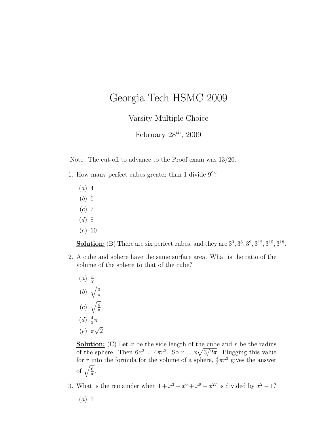## Georgia Tech HSMC 2009

Varsity Multiple Choice

February  $28^{th}$ , 2009

Note: The cut-off to advance to the Proof exam was 13/20.

- 1. How many perfect cubes greater than 1 divide 9<sup>9</sup> ?
	- $(a)$  4
	- (b) 6
	- $(c)$  7
	- $(d)$  8
	- (e) 10

**Solution:** (B) There are six perfect cubes, and they are  $3^3$ ,  $3^6$ ,  $3^9$ ,  $3^{12}$ ,  $3^{15}$ ,  $3^{18}$ .

- 2. A cube and sphere have the same surface area. What is the ratio of the volume of the sphere to that of the cube?
	- $(a) \frac{\pi}{2}$ 2 (b)  $\overline{a}$ 3 π  $(c)$  $\mathbf{v}$ 6 π  $(d) \frac{4}{3}$  $\frac{4}{3}\pi$  $(e)$   $\pi$ √ 2

**Solution:** (C) Let x be the side length of the cube and r be the radius of the sphere. Then  $6x^2 = 4\pi r^2$ . So  $r = x\sqrt{3/2\pi}$ . Plugging this value for r into the formula for the volume of a sphere,  $\frac{4}{3}\pi r^3$  gives the answer for  $\frac{1}{\sqrt{\frac{6}{\pi}}}$  $\frac{6}{\pi}$ .

3. What is the remainder when  $1 + x^3 + x^6 + x^9 + x^{27}$  is divided by  $x^2 - 1$ ?

 $(a)$  1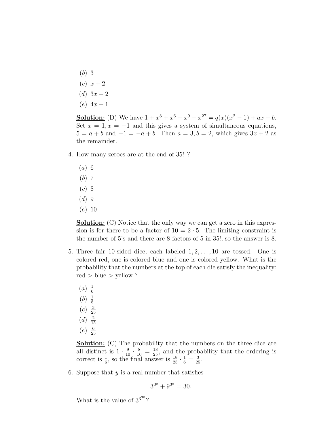- (b) 3
- $(c)$   $x + 2$
- $(d)$  3x + 2
- $(e)$  4x + 1

**Solution:** (D) We have  $1 + x^3 + x^6 + x^9 + x^{27} = q(x)(x^2 - 1) + ax + b$ . Set  $x = 1, x = -1$  and this gives a system of simultaneous equations,  $5 = a + b$  and  $-1 = -a + b$ . Then  $a = 3, b = 2$ , which gives  $3x + 2$  as the remainder.

- 4. How many zeroes are at the end of 35! ?
	- (a) 6
	- (b) 7
	- (c) 8
	- $(d)$  9
	- (e) 10

Solution: (C) Notice that the only way we can get a zero in this expression is for there to be a factor of  $10 = 2 \cdot 5$ . The limiting constraint is the number of 5's and there are 8 factors of 5 in 35!, so the answer is 8.

- 5. Three fair 10-sided dice, each labeled  $1, 2, \ldots, 10$  are tossed. One is colored red, one is colored blue and one is colored yellow. What is the probability that the numbers at the top of each die satisfy the inequality: red  $>$  blue  $>$  yellow ?
	- $(a) \frac{1}{6}$ 6
	- $(b) \frac{1}{8}$ 8
	- $(c) \frac{3}{2}$
	- 25  $(d) \frac{2}{1}$
	- 15
	- $(e) \frac{6}{25}$ 25

**Solution:** (C) The probability that the numbers on the three dice are all distinct is  $1 \cdot \frac{9}{10} \cdot \frac{8}{10} = \frac{18}{25}$ , and the probability that the ordering is correct is  $\frac{1}{6}$ , so the final answer is  $\frac{18}{25} \cdot \frac{1}{6} = \frac{3}{25}$ .

6. Suppose that  $y$  is a real number that satisfies

$$
3^{3^y} + 9^{3^y} = 30.
$$

What is the value of  $3^{3^{39}}$ ?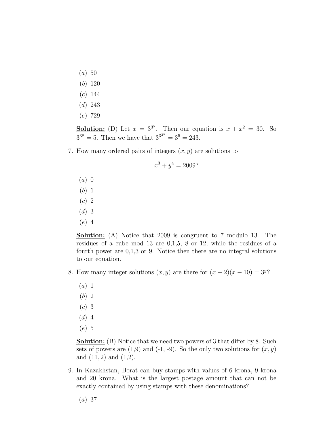- $(a) 50$
- (b) 120
- $(c)$  144
- (d) 243
- (e) 729

**Solution:** (D) Let  $x = 3^{3^y}$ . Then our equation is  $x + x^2 = 30$ . So  $3^{3^y} = 5$ . Then we have that  $3^{3^{3^y}} = 3^5 = 243$ .

7. How many ordered pairs of integers  $(x, y)$  are solutions to

$$
x^3 + y^4 = 2009?
$$

- $(a)$  0
- (b) 1
- (c) 2
- $(d)$  3
- (e) 4

Solution: (A) Notice that 2009 is congruent to 7 modulo 13. The residues of a cube mod 13 are 0,1,5, 8 or 12, while the residues of a fourth power are 0,1,3 or 9. Notice then there are no integral solutions to our equation.

- 8. How many integer solutions  $(x, y)$  are there for  $(x 2)(x 10) = 3^y$ ?
	- $(a)$  1
	- (b) 2
	- (c) 3
	- $(d)$  4
	- (e) 5

**Solution:** (B) Notice that we need two powers of 3 that differ by 8. Such sets of powers are  $(1,9)$  and  $(-1, -9)$ . So the only two solutions for  $(x, y)$ and  $(11, 2)$  and  $(1, 2)$ .

9. In Kazakhstan, Borat can buy stamps with values of 6 krona, 9 krona and 20 krona. What is the largest postage amount that can not be exactly contained by using stamps with these denominations?

(a) 37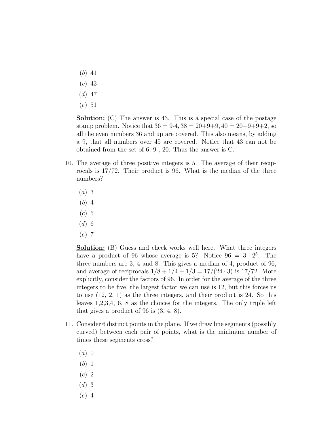- (b) 41
- (c) 43
- $(d)$  47
- (e) 51

**Solution:** (C) The answer is 43. This is a special case of the postage stamp problem. Notice that  $36 = 9.4$ ,  $38 = 20 + 9 + 9$ ,  $40 = 20 + 9 + 9 + 2$ , so all the even numbers 36 and up are covered. This also means, by adding a 9, that all numbers over 45 are covered. Notice that 43 can not be obtained from the set of 6, 9 , 20. Thus the answer is C.

- 10. The average of three positive integers is 5. The average of their reciprocals is 17/72. Their product is 96. What is the median of the three numbers?
	- (a) 3
	- (b) 4
	- $(c)$  5
	- $(d)$  6
	- (e) 7

**Solution:** (B) Guess and check works well here. What three integers have a product of 96 whose average is 5? Notice  $96 = 3 \cdot 2^5$ . The three numbers are 3, 4 and 8. This gives a median of 4, product of 96, and average of reciprocals  $1/8 + 1/4 + 1/3 = 17/(24 \cdot 3)$  is 17/72. More explicitly, consider the factors of 96. In order for the average of the three integers to be five, the largest factor we can use is 12, but this forces us to use (12, 2, 1) as the three integers, and their product is 24. So this leaves 1,2,3,4, 6, 8 as the choices for the integers. The only triple left that gives a product of 96 is (3, 4, 8).

- 11. Consider 6 distinct points in the plane. If we draw line segments (possibly curved) between each pair of points, what is the minimum number of times these segments cross?
	- $(a)$  0
	- (b) 1
	- (c) 2
	- (d) 3
	- (e) 4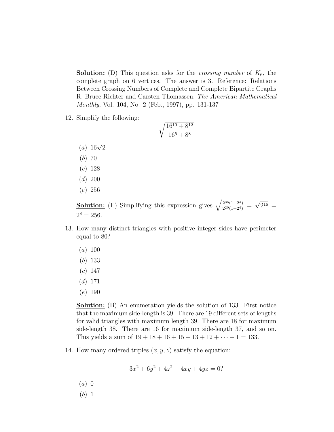**Solution:** (D) This question asks for the *crossing number* of  $K_6$ , the complete graph on 6 vertices. The answer is 3. Reference: Relations Between Crossing Numbers of Complete and Complete Bipartite Graphs R. Bruce Richter and Carsten Thomassen, The American Mathematical Monthly, Vol. 104, No. 2 (Feb., 1997), pp. 131-137

12. Simplify the following:

$$
\sqrt{\frac{16^{10} + 8^{12}}{16^5 + 8^8}}
$$

- (*a*)  $16\sqrt{2}$
- (b) 70
- (c) 128
- $(d)$  200
- (e) 256

**Solution:** (E) Simplifying this expression gives  $\sqrt{\frac{2^{36}(1+2^4)}{2^{20}(1+2^4)}}$  $\frac{2^{30}(1+2^4)}{2^{20}(1+2^4)}$  = √  $2^{16} =$  $2^8 = 256$ .

- 13. How many distinct triangles with positive integer sides have perimeter equal to 80?
	- $(a) 100$
	- (b) 133
	- $(c) 147$
	- $(d)$  171
	- (e) 190

**Solution:** (B) An enumeration yields the solution of 133. First notice that the maximum side-length is 39. There are 19 different sets of lengths for valid triangles with maximum length 39. There are 18 for maximum side-length 38. There are 16 for maximum side-length 37, and so on. This yields a sum of  $19 + 18 + 16 + 15 + 13 + 12 + \cdots + 1 = 133$ .

14. How many ordered triples  $(x, y, z)$  satisfy the equation:

$$
3x^2 + 6y^2 + 4z^2 - 4xy + 4yz = 0?
$$

- $(a)$  0
- (b) 1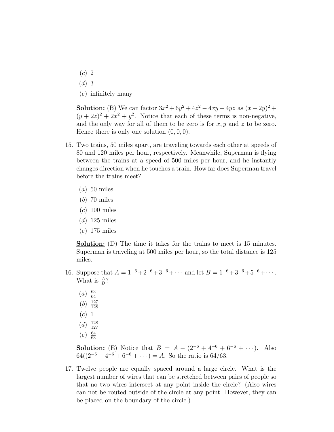- $(c)$  2
- $(d)$  3
- (e) infinitely many

**Solution:** (B) We can factor  $3x^2 + 6y^2 + 4z^2 - 4xy + 4yz$  as  $(x - 2y)^2 +$  $(y+2z)^2+2x^2+y^2$ . Notice that each of these terms is non-negative, and the only way for all of them to be zero is for  $x, y$  and z to be zero. Hence there is only one solution  $(0, 0, 0)$ .

- 15. Two trains, 50 miles apart, are traveling towards each other at speeds of 80 and 120 miles per hour, respectively. Meanwhile, Superman is flying between the trains at a speed of 500 miles per hour, and he instantly changes direction when he touches a train. How far does Superman travel before the trains meet?
	- $(a)$  50 miles
	- (b) 70 miles
	- $(c)$  100 miles
	- $(d)$  125 miles
	- (e) 175 miles

Solution: (D) The time it takes for the trains to meet is 15 minutes. Superman is traveling at 500 miles per hour, so the total distance is 125 miles.

- 16. Suppose that  $A = 1^{-6} + 2^{-6} + 3^{-6} + \cdots$  and let  $B = 1^{-6} + 3^{-6} + 5^{-6} + \cdots$ . What is  $\frac{A}{B}$ ?
	- $(a) \frac{63}{64}$ 64
	- $(b) \frac{127}{128}$ 128
	- (c) 1
	-
	- $(d) \frac{128}{127}$ 127
	- $(e) \frac{64}{63}$ 63

**Solution:** (E) Notice that  $B = A - (2^{-6} + 4^{-6} + 6^{-6} + \cdots)$ . Also  $64((2^{-6}+4^{-6}+6^{-6}+\cdots)=A.$  So the ratio is 64/63.

17. Twelve people are equally spaced around a large circle. What is the largest number of wires that can be stretched between pairs of people so that no two wires intersect at any point inside the circle? (Also wires can not be routed outside of the circle at any point. However, they can be placed on the boundary of the circle.)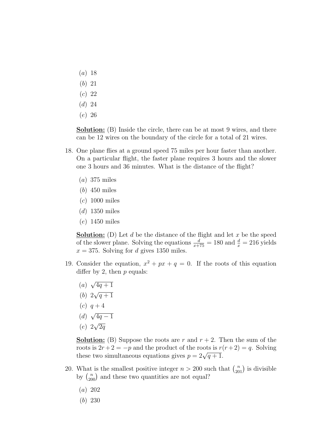- $(a) 18$
- (b) 21
- (c) 22
- (d) 24
- (e) 26

Solution: (B) Inside the circle, there can be at most 9 wires, and there can be 12 wires on the boundary of the circle for a total of 21 wires.

- 18. One plane flies at a ground speed 75 miles per hour faster than another. On a particular flight, the faster plane requires 3 hours and the slower one 3 hours and 36 minutes. What is the distance of the flight?
	- (a) 375 miles
	- (b) 450 miles
	- (c) 1000 miles
	- $(d)$  1350 miles
	- (e) 1450 miles

**Solution:** (D) Let d be the distance of the flight and let x be the speed of the slower plane. Solving the equations  $\frac{d}{x+75} = 180$  and  $\frac{d}{x} = 216$  yields  $x = 375$ . Solving for d gives 1350 miles.

- 19. Consider the equation,  $x^2 + px + q = 0$ . If the roots of this equation differ by 2, then  $p$  equals:
	- (a) √  $4q + 1$
	- (b) 2 √  $q+1$
	- (c)  $q + 4$
	- (d)  $^{\prime}$  $\overline{4q-1}$ √
	- (e) 2  $\overline{2q}$

**Solution:** (B) Suppose the roots are r and  $r + 2$ . Then the sum of the roots is  $2r+2 = -p$  and the product of the roots is  $r(r+2) = q$ . Solving these two simultaneous equations gives  $p = 2\sqrt{q+1}$ .

- 20. What is the smallest positive integer  $n > 200$  such that  $\binom{n}{201}$  is divisible what is the smallest positive integer  $n > 200$  subset by  $\binom{n}{200}$  and these two quantities are not equal?
	- (a) 202
	- (b) 230